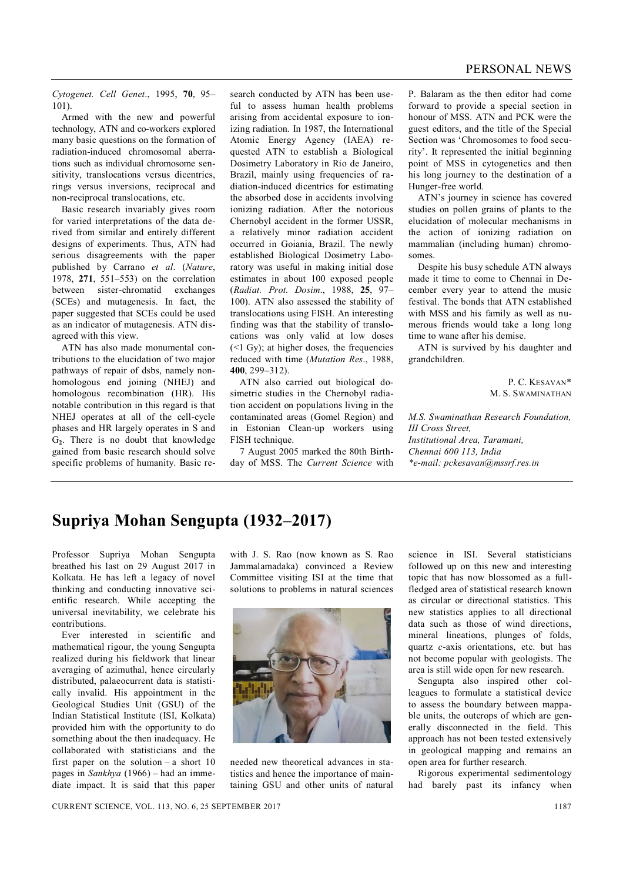*Cytogenet. Cell Genet*., 1995, **70**, 95– 101).

Armed with the new and powerful technology, ATN and co-workers explored many basic questions on the formation of radiation-induced chromosomal aberrations such as individual chromosome sensitivity, translocations versus dicentrics, rings versus inversions, reciprocal and non-reciprocal translocations, etc.

Basic research invariably gives room for varied interpretations of the data derived from similar and entirely different designs of experiments. Thus, ATN had serious disagreements with the paper published by Carrano *et al*. (*Nature*, 1978, **271**, 551–553) on the correlation between sister-chromatid exchanges (SCEs) and mutagenesis. In fact, the paper suggested that SCEs could be used as an indicator of mutagenesis. ATN disagreed with this view.

ATN has also made monumental contributions to the elucidation of two major pathways of repair of dsbs, namely nonhomologous end joining (NHEJ) and homologous recombination (HR). His notable contribution in this regard is that NHEJ operates at all of the cell-cycle phases and HR largely operates in S and G**2**. There is no doubt that knowledge gained from basic research should solve specific problems of humanity. Basic re-

search conducted by ATN has been useful to assess human health problems arising from accidental exposure to ionizing radiation. In 1987, the International Atomic Energy Agency (IAEA) requested ATN to establish a Biological Dosimetry Laboratory in Rio de Janeiro, Brazil, mainly using frequencies of radiation-induced dicentrics for estimating the absorbed dose in accidents involving ionizing radiation. After the notorious Chernobyl accident in the former USSR, a relatively minor radiation accident occurred in Goiania, Brazil. The newly established Biological Dosimetry Laboratory was useful in making initial dose estimates in about 100 exposed people (*Radiat. Prot. Dosim*., 1988, **25**, 97– 100). ATN also assessed the stability of translocations using FISH. An interesting finding was that the stability of translocations was only valid at low doses  $(< 1$  Gy); at higher doses, the frequencies reduced with time (*Mutation Res*., 1988, **400**, 299–312).

ATN also carried out biological dosimetric studies in the Chernobyl radiation accident on populations living in the contaminated areas (Gomel Region) and in Estonian Clean-up workers using FISH technique.

7 August 2005 marked the 80th Birthday of MSS. The *Current Science* with P. Balaram as the then editor had come forward to provide a special section in honour of MSS. ATN and PCK were the guest editors, and the title of the Special Section was 'Chromosomes to food security'. It represented the initial beginning point of MSS in cytogenetics and then his long journey to the destination of a Hunger-free world.

ATN's journey in science has covered studies on pollen grains of plants to the elucidation of molecular mechanisms in the action of ionizing radiation on mammalian (including human) chromosomes.

Despite his busy schedule ATN always made it time to come to Chennai in December every year to attend the music festival. The bonds that ATN established with MSS and his family as well as numerous friends would take a long long time to wane after his demise.

ATN is survived by his daughter and grandchildren.

> P. C. KESAVAN\* M. S. SWAMINATHAN

*M.S. Swaminathan Research Foundation, III Cross Street, Institutional Area, Taramani, Chennai 600 113, India \*e-mail: pckesavan@mssrf.res.in*

## **Supriya Mohan Sengupta (1932–2017)**

Professor Supriya Mohan Sengupta breathed his last on 29 August 2017 in Kolkata. He has left a legacy of novel thinking and conducting innovative scientific research. While accepting the universal inevitability, we celebrate his contributions.

Ever interested in scientific and mathematical rigour, the young Sengupta realized during his fieldwork that linear averaging of azimuthal, hence circularly distributed, palaeocurrent data is statistically invalid. His appointment in the Geological Studies Unit (GSU) of the Indian Statistical Institute (ISI, Kolkata) provided him with the opportunity to do something about the then inadequacy. He collaborated with statisticians and the first paper on the solution – a short  $10$ pages in *Sankhya* (1966) – had an immediate impact. It is said that this paper

with J. S. Rao (now known as S. Rao Jammalamadaka) convinced a Review Committee visiting ISI at the time that solutions to problems in natural sciences



needed new theoretical advances in statistics and hence the importance of maintaining GSU and other units of natural science in ISI. Several statisticians followed up on this new and interesting topic that has now blossomed as a fullfledged area of statistical research known as circular or directional statistics. This new statistics applies to all directional data such as those of wind directions, mineral lineations, plunges of folds, quartz *c*-axis orientations, etc. but has not become popular with geologists. The area is still wide open for new research.

Sengupta also inspired other colleagues to formulate a statistical device to assess the boundary between mappable units, the outcrops of which are generally disconnected in the field. This approach has not been tested extensively in geological mapping and remains an open area for further research.

Rigorous experimental sedimentology had barely past its infancy when